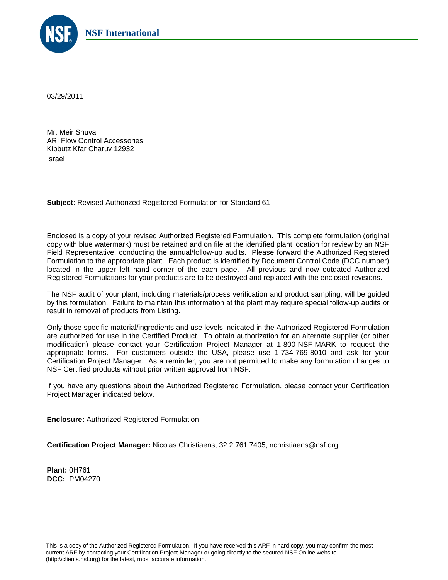

03/29/2011

Mr. Meir Shuval ARI Flow Control Accessories Kibbutz Kfar Charuv 12932 Israel

**Subject**: Revised Authorized Registered Formulation for Standard 61

Enclosed is a copy of your revised Authorized Registered Formulation. This complete formulation (original copy with blue watermark) must be retained and on file at the identified plant location for review by an NSF Field Representative, conducting the annual/follow-up audits. Please forward the Authorized Registered Formulation to the appropriate plant. Each product is identified by Document Control Code (DCC number) located in the upper left hand corner of the each page. All previous and now outdated Authorized Registered Formulations for your products are to be destroyed and replaced with the enclosed revisions.

The NSF audit of your plant, including materials/process verification and product sampling, will be guided by this formulation. Failure to maintain this information at the plant may require special follow-up audits or result in removal of products from Listing.

Only those specific material/ingredients and use levels indicated in the Authorized Registered Formulation are authorized for use in the Certified Product. To obtain authorization for an alternate supplier (or other modification) please contact your Certification Project Manager at 1-800-NSF-MARK to request the appropriate forms. For customers outside the USA, please use 1-734-769-8010 and ask for your Certification Project Manager. As a reminder, you are not permitted to make any formulation changes to NSF Certified products without prior written approval from NSF.

If you have any questions about the Authorized Registered Formulation, please contact your Certification Project Manager indicated below.

**Enclosure:** Authorized Registered Formulation

**Certification Project Manager:** Nicolas Christiaens, 32 2 761 7405, nchristiaens@nsf.org

**Plant:** 0H761 **DCC:** PM04270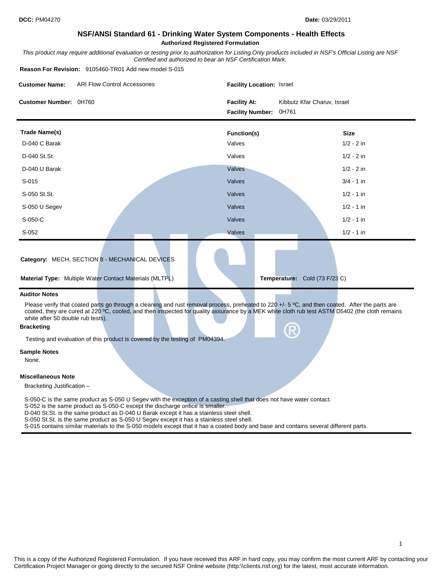## **NSF/ANSI Standard 61 - Drinking Water System Components - Health Effects Authorized Registered Formulation**

*This product may require additional evaluation or testing prior to authorization for Listing.Only products included in NSF's Official Listing are NSF Certified and authorized to bear an NSF Certification Mark.*

**Reason For Revision:** 9105460-TR01 Add new model S-015

| <b>Customer Name:</b>                                  | <b>ARI Flow Control Accessories</b>                                                                                                                                                                                                                                                               | Facility Location: Israel                               |                             |  |  |  |
|--------------------------------------------------------|---------------------------------------------------------------------------------------------------------------------------------------------------------------------------------------------------------------------------------------------------------------------------------------------------|---------------------------------------------------------|-----------------------------|--|--|--|
| Customer Number: 0H760                                 |                                                                                                                                                                                                                                                                                                   | <b>Facility At:</b><br>0H761<br><b>Facility Number:</b> | Kibbutz Kfar Charuv, Israel |  |  |  |
| <b>Trade Name(s)</b>                                   |                                                                                                                                                                                                                                                                                                   | <b>Function(s)</b>                                      | <b>Size</b>                 |  |  |  |
| D-040 C Barak                                          |                                                                                                                                                                                                                                                                                                   | Valves                                                  | $1/2 - 2$ in                |  |  |  |
| D-040 St.St.                                           |                                                                                                                                                                                                                                                                                                   | Valves                                                  | $1/2 - 2$ in                |  |  |  |
| D-040 U Barak                                          |                                                                                                                                                                                                                                                                                                   | Valves                                                  | $1/2 - 2$ in                |  |  |  |
| $S-015$                                                |                                                                                                                                                                                                                                                                                                   | Valves                                                  | $3/4 - 1$ in                |  |  |  |
| S-050 St.St.                                           |                                                                                                                                                                                                                                                                                                   | Valves                                                  | $1/2 - 1$ in                |  |  |  |
| S-050 U Segev                                          |                                                                                                                                                                                                                                                                                                   | Valves                                                  | $1/2 - 1$ in                |  |  |  |
| S-050-C                                                |                                                                                                                                                                                                                                                                                                   | Valves                                                  | $1/2 - 1$ in                |  |  |  |
| $S-052$                                                |                                                                                                                                                                                                                                                                                                   | Valves                                                  | $1/2 - 1$ in                |  |  |  |
|                                                        | Category: MECH, SECTION 8 - MECHANICAL DEVICES<br><b>Material Type:</b> Multiple Water Contact Materials (MLTPL)                                                                                                                                                                                  | Temperature: Cold (73 F/23 C)                           |                             |  |  |  |
| <b>Auditor Notes</b>                                   |                                                                                                                                                                                                                                                                                                   |                                                         |                             |  |  |  |
| white after 50 double rub tests).<br><b>Bracketing</b> | Please verify that coated parts go through a cleaning and rust removal process, preheated to 220 +/- 5 °C, and then coated. After the parts are<br>coated, they are cured at 220 °C, cooled, and then inspected for quality assurance by a MEK white cloth rub test ASTM D5402 (the cloth remains |                                                         |                             |  |  |  |

Testing and evaluation of this product is covered by the testing of PM04394.

## **Sample Notes**

None.

## **Miscellaneous Note**

Bracketing Justification –

S-050-C is the same product as S-050 U Segev with the exception of a casting shell that does not have water contact.

S-052 is the same product as S-050-C except the discharge orifice is smaller.

D-040 St.St. is the same product as D-040 U Barak except it has a stainless steel shell.

S-050 St.St. is the same product as S-050 U Segev except it has a stainless steel shell.

S-015 contains similar materials to the S-050 models except that it has a coated body and base and contains several different parts.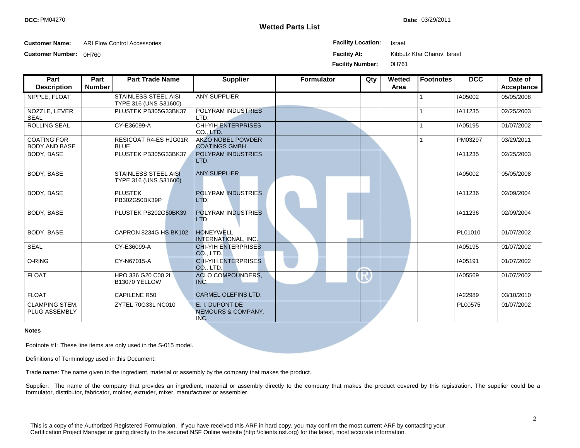**Wetted Parts List**

Date: 03/29/2011

**Customer Name:** ARI Flow Control Accessories **Facility Location:** Israel

**Customer Number:** 0H760 **Facility At:** Kibbutz Kfar Charuv, Israel

**Facility Number:** 0H761

| Part                                       | Part          | <b>Part Trade Name</b>                               | <b>Supplier</b>                                  | <b>Formulator</b> | Qty | Wetted | Footnotes | <b>DCC</b> | Date of    |
|--------------------------------------------|---------------|------------------------------------------------------|--------------------------------------------------|-------------------|-----|--------|-----------|------------|------------|
| <b>Description</b>                         | <b>Number</b> |                                                      |                                                  |                   |     | Area   |           |            | Acceptance |
| NIPPLE, FLOAT                              |               | <b>STAINLESS STEEL AISI</b><br>TYPE 316 (UNS S31600) | <b>ANY SUPPLIER</b>                              |                   |     |        |           | IA05002    | 05/05/2008 |
| NOZZLE, LEVER<br><b>SEAL</b>               |               | PLUSTEK PB305G33BK37                                 | POLYRAM INDUSTRIES<br>LTD.                       |                   |     |        |           | IA11235    | 02/25/2003 |
| <b>ROLLING SEAL</b>                        |               | CY-E36099-A                                          | <b>CHI-YIH ENTERPRISES</b><br>CO., LTD.          |                   |     |        |           | IA05195    | 01/07/2002 |
| <b>COATING FOR</b><br><b>BODY AND BASE</b> |               | <b>RESICOAT R4-ES HJG01R</b><br><b>BLUE</b>          | <b>AKZO NOBEL POWDER</b><br><b>COATINGS GMBH</b> |                   |     |        |           | PM03297    | 03/29/2011 |
| BODY, BASE                                 |               | PLUSTEK PB305G33BK37                                 | POLYRAM INDUSTRIES<br>LTD.                       |                   |     |        |           | IA11235    | 02/25/2003 |
| BODY, BASE                                 |               | <b>STAINLESS STEEL AISI</b><br>TYPE 316 (UNS S31600) | <b>ANY SUPPLIER</b>                              |                   |     |        |           | IA05002    | 05/05/2008 |
| BODY, BASE                                 |               | <b>PLUSTEK</b><br>PB302G50BK39P                      | <b>POLYRAM INDUSTRIES</b><br>LTD.                |                   |     |        |           | IA11236    | 02/09/2004 |
| BODY, BASE                                 |               | PLUSTEK PB202G50BK39                                 | <b>POLYRAM INDUSTRIES</b><br>LTD.                |                   |     |        |           | IA11236    | 02/09/2004 |
| BODY, BASE                                 |               | CAPRON 8234G HS BK102                                | <b>HONEYWELL</b><br>INTERNATIONAL, INC.          |                   |     |        |           | PL01010    | 01/07/2002 |
| <b>SEAL</b>                                |               | CY-E36099-A                                          | <b>CHI-YIH ENTERPRISES</b><br>CO., LTD.          |                   |     |        |           | IA05195    | 01/07/2002 |
| O-RING                                     |               | CY-N67015-A                                          | <b>CHI-YIH ENTERPRISES</b><br>CO., LTD.          |                   |     |        |           | IA05191    | 01/07/2002 |
| <b>FLOAT</b>                               |               | HPO 336 G20 C00 2L<br>B13070 YELLOW                  | <b>ACLO COMPOUNDERS,</b><br>INC.                 |                   |     |        |           | IA05569    | 01/07/2002 |
| <b>FLOAT</b>                               |               | <b>CAPILENE R50</b>                                  | <b>CARMEL OLEFINS LTD.</b>                       |                   |     |        |           | IA22989    | 03/10/2010 |
| <b>CLAMPING STEM,</b><br>PLUG ASSEMBLY     |               | ZYTEL 70G33L NC010                                   | E. I. DUPONT DE<br>NEMOURS & COMPANY,<br>INC.    |                   |     |        |           | PL00575    | 01/07/2002 |

## **Notes**

Footnote #1: These line items are only used in the S-015 model.

Definitions of Terminology used in this Document:

Trade name: The name given to the ingredient, material or assembly by the company that makes the product.

Supplier: The name of the company that provides an ingredient, material or assembly directly to the company that makes the product covered by this registration. The supplier could be a formulator, distributor, fabricator, molder, extruder, mixer, manufacturer or assembler.